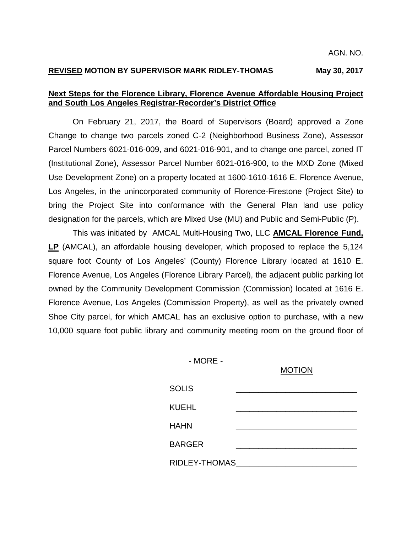# **REVISED MOTION BY SUPERVISOR MARK RIDLEY-THOMAS May 30, 2017**

# **Next Steps for the Florence Library, Florence Avenue Affordable Housing Project and South Los Angeles Registrar-Recorder's District Office**

On February 21, 2017, the Board of Supervisors (Board) approved a Zone Change to change two parcels zoned C-2 (Neighborhood Business Zone), Assessor Parcel Numbers 6021-016-009, and 6021-016-901, and to change one parcel, zoned IT (Institutional Zone), Assessor Parcel Number 6021-016-900, to the MXD Zone (Mixed Use Development Zone) on a property located at 1600-1610-1616 E. Florence Avenue, Los Angeles, in the unincorporated community of Florence-Firestone (Project Site) to bring the Project Site into conformance with the General Plan land use policy designation for the parcels, which are Mixed Use (MU) and Public and Semi-Public (P).

This was initiated by AMCAL Multi-Housing Two, LLC **AMCAL Florence Fund, LP** (AMCAL), an affordable housing developer, which proposed to replace the 5,124 square foot County of Los Angeles' (County) Florence Library located at 1610 E. Florence Avenue, Los Angeles (Florence Library Parcel), the adjacent public parking lot owned by the Community Development Commission (Commission) located at 1616 E. Florence Avenue, Los Angeles (Commission Property), as well as the privately owned Shoe City parcel, for which AMCAL has an exclusive option to purchase, with a new 10,000 square foot public library and community meeting room on the ground floor of

- MORE -

#### MOTION

| <b>SOLIS</b>  |  |  |
|---------------|--|--|
| <b>KUEHL</b>  |  |  |
| <b>HAHN</b>   |  |  |
| <b>BARGER</b> |  |  |
| RIDLEY-THOMAS |  |  |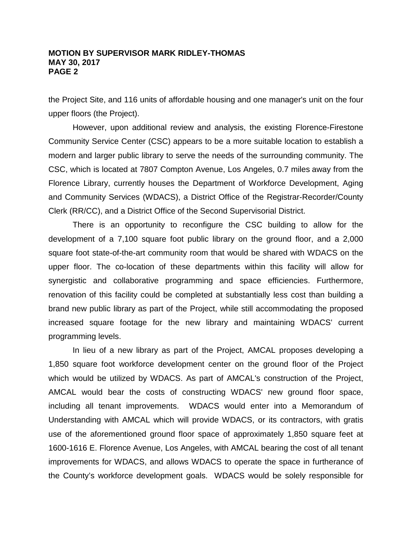the Project Site, and 116 units of affordable housing and one manager's unit on the four upper floors (the Project).

However, upon additional review and analysis, the existing Florence-Firestone Community Service Center (CSC) appears to be a more suitable location to establish a modern and larger public library to serve the needs of the surrounding community. The CSC, which is located at 7807 Compton Avenue, Los Angeles, 0.7 miles away from the Florence Library, currently houses the Department of Workforce Development, Aging and Community Services (WDACS), a District Office of the Registrar-Recorder/County Clerk (RR/CC), and a District Office of the Second Supervisorial District.

There is an opportunity to reconfigure the CSC building to allow for the development of a 7,100 square foot public library on the ground floor, and a 2,000 square foot state-of-the-art community room that would be shared with WDACS on the upper floor. The co-location of these departments within this facility will allow for synergistic and collaborative programming and space efficiencies. Furthermore, renovation of this facility could be completed at substantially less cost than building a brand new public library as part of the Project, while still accommodating the proposed increased square footage for the new library and maintaining WDACS' current programming levels.

In lieu of a new library as part of the Project, AMCAL proposes developing a 1,850 square foot workforce development center on the ground floor of the Project which would be utilized by WDACS. As part of AMCAL's construction of the Project, AMCAL would bear the costs of constructing WDACS' new ground floor space, including all tenant improvements. WDACS would enter into a Memorandum of Understanding with AMCAL which will provide WDACS, or its contractors, with gratis use of the aforementioned ground floor space of approximately 1,850 square feet at 1600-1616 E. Florence Avenue, Los Angeles, with AMCAL bearing the cost of all tenant improvements for WDACS, and allows WDACS to operate the space in furtherance of the County's workforce development goals. WDACS would be solely responsible for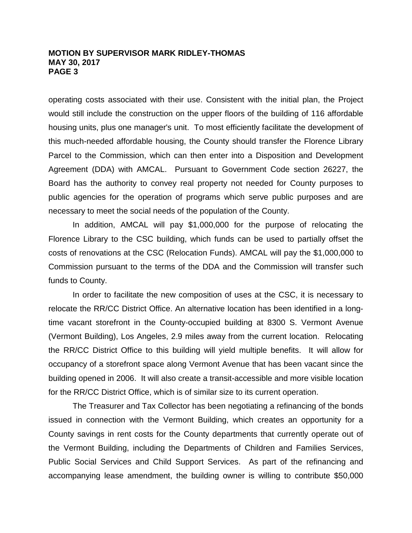operating costs associated with their use. Consistent with the initial plan, the Project would still include the construction on the upper floors of the building of 116 affordable housing units, plus one manager's unit. To most efficiently facilitate the development of this much-needed affordable housing, the County should transfer the Florence Library Parcel to the Commission, which can then enter into a Disposition and Development Agreement (DDA) with AMCAL. Pursuant to Government Code section 26227, the Board has the authority to convey real property not needed for County purposes to public agencies for the operation of programs which serve public purposes and are necessary to meet the social needs of the population of the County.

In addition, AMCAL will pay \$1,000,000 for the purpose of relocating the Florence Library to the CSC building, which funds can be used to partially offset the costs of renovations at the CSC (Relocation Funds). AMCAL will pay the \$1,000,000 to Commission pursuant to the terms of the DDA and the Commission will transfer such funds to County.

In order to facilitate the new composition of uses at the CSC, it is necessary to relocate the RR/CC District Office. An alternative location has been identified in a longtime vacant storefront in the County-occupied building at 8300 S. Vermont Avenue (Vermont Building), Los Angeles, 2.9 miles away from the current location. Relocating the RR/CC District Office to this building will yield multiple benefits. It will allow for occupancy of a storefront space along Vermont Avenue that has been vacant since the building opened in 2006. It will also create a transit-accessible and more visible location for the RR/CC District Office, which is of similar size to its current operation.

The Treasurer and Tax Collector has been negotiating a refinancing of the bonds issued in connection with the Vermont Building, which creates an opportunity for a County savings in rent costs for the County departments that currently operate out of the Vermont Building, including the Departments of Children and Families Services, Public Social Services and Child Support Services. As part of the refinancing and accompanying lease amendment, the building owner is willing to contribute \$50,000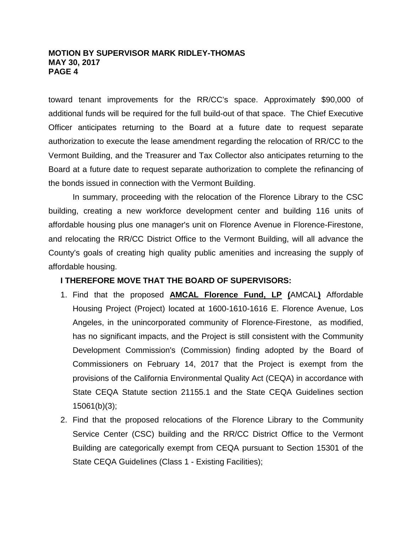toward tenant improvements for the RR/CC's space. Approximately \$90,000 of additional funds will be required for the full build-out of that space. The Chief Executive Officer anticipates returning to the Board at a future date to request separate authorization to execute the lease amendment regarding the relocation of RR/CC to the Vermont Building, and the Treasurer and Tax Collector also anticipates returning to the Board at a future date to request separate authorization to complete the refinancing of the bonds issued in connection with the Vermont Building.

In summary, proceeding with the relocation of the Florence Library to the CSC building, creating a new workforce development center and building 116 units of affordable housing plus one manager's unit on Florence Avenue in Florence-Firestone, and relocating the RR/CC District Office to the Vermont Building, will all advance the County's goals of creating high quality public amenities and increasing the supply of affordable housing.

# **I THEREFORE MOVE THAT THE BOARD OF SUPERVISORS:**

- 1. Find that the proposed **AMCAL Florence Fund, LP (**AMCAL**)** Affordable Housing Project (Project) located at 1600-1610-1616 E. Florence Avenue, Los Angeles, in the unincorporated community of Florence-Firestone, as modified, has no significant impacts, and the Project is still consistent with the Community Development Commission's (Commission) finding adopted by the Board of Commissioners on February 14, 2017 that the Project is exempt from the provisions of the California Environmental Quality Act (CEQA) in accordance with State CEQA Statute section 21155.1 and the State CEQA Guidelines section 15061(b)(3);
- 2. Find that the proposed relocations of the Florence Library to the Community Service Center (CSC) building and the RR/CC District Office to the Vermont Building are categorically exempt from CEQA pursuant to Section 15301 of the State CEQA Guidelines (Class 1 - Existing Facilities);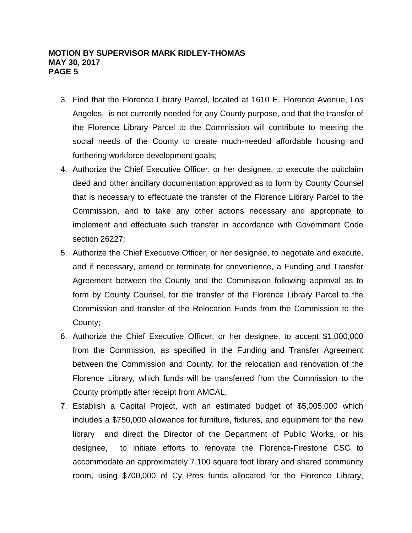- 3. Find that the Florence Library Parcel, located at 1610 E. Florence Avenue, Los Angeles, is not currently needed for any County purpose, and that the transfer of the Florence Library Parcel to the Commission will contribute to meeting the social needs of the County to create much-needed affordable housing and furthering workforce development goals;
- 4. Authorize the Chief Executive Officer, or her designee, to execute the quitclaim deed and other ancillary documentation approved as to form by County Counsel that is necessary to effectuate the transfer of the Florence Library Parcel to the Commission, and to take any other actions necessary and appropriate to implement and effectuate such transfer in accordance with Government Code section 26227;
- 5. Authorize the Chief Executive Officer, or her designee, to negotiate and execute, and if necessary, amend or terminate for convenience, a Funding and Transfer Agreement between the County and the Commission following approval as to form by County Counsel, for the transfer of the Florence Library Parcel to the Commission and transfer of the Relocation Funds from the Commission to the County;
- 6. Authorize the Chief Executive Officer, or her designee, to accept \$1,000,000 from the Commission, as specified in the Funding and Transfer Agreement between the Commission and County, for the relocation and renovation of the Florence Library, which funds will be transferred from the Commission to the County promptly after receipt from AMCAL;
- 7. Establish a Capital Project, with an estimated budget of \$5,005,000 which includes a \$750,000 allowance for furniture, fixtures, and equipment for the new library and direct the Director of the Department of Public Works, or his designee, to initiate efforts to renovate the Florence-Firestone CSC to accommodate an approximately 7,100 square foot library and shared community room, using \$700,000 of Cy Pres funds allocated for the Florence Library,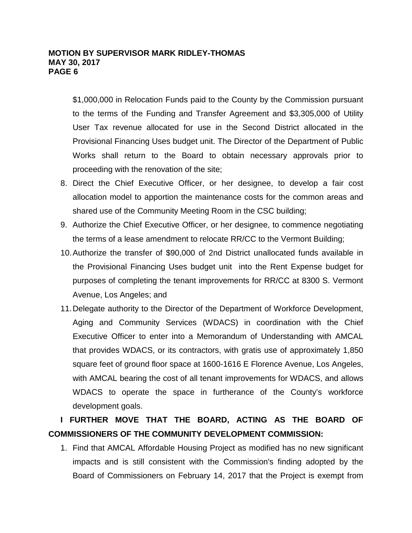\$1,000,000 in Relocation Funds paid to the County by the Commission pursuant to the terms of the Funding and Transfer Agreement and \$3,305,000 of Utility User Tax revenue allocated for use in the Second District allocated in the Provisional Financing Uses budget unit. The Director of the Department of Public Works shall return to the Board to obtain necessary approvals prior to proceeding with the renovation of the site;

- 8. Direct the Chief Executive Officer, or her designee, to develop a fair cost allocation model to apportion the maintenance costs for the common areas and shared use of the Community Meeting Room in the CSC building;
- 9. Authorize the Chief Executive Officer, or her designee, to commence negotiating the terms of a lease amendment to relocate RR/CC to the Vermont Building;
- 10.Authorize the transfer of \$90,000 of 2nd District unallocated funds available in the Provisional Financing Uses budget unit into the Rent Expense budget for purposes of completing the tenant improvements for RR/CC at 8300 S. Vermont Avenue, Los Angeles; and
- 11.Delegate authority to the Director of the Department of Workforce Development, Aging and Community Services (WDACS) in coordination with the Chief Executive Officer to enter into a Memorandum of Understanding with AMCAL that provides WDACS, or its contractors, with gratis use of approximately 1,850 square feet of ground floor space at 1600-1616 E Florence Avenue, Los Angeles, with AMCAL bearing the cost of all tenant improvements for WDACS, and allows WDACS to operate the space in furtherance of the County's workforce development goals.

# **I FURTHER MOVE THAT THE BOARD, ACTING AS THE BOARD OF COMMISSIONERS OF THE COMMUNITY DEVELOPMENT COMMISSION:**

1. Find that AMCAL Affordable Housing Project as modified has no new significant impacts and is still consistent with the Commission's finding adopted by the Board of Commissioners on February 14, 2017 that the Project is exempt from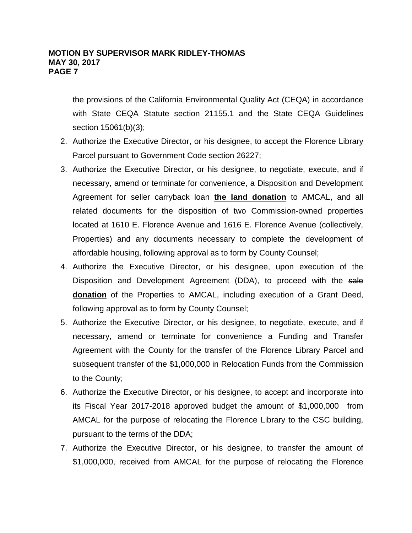the provisions of the California Environmental Quality Act (CEQA) in accordance with State CEQA Statute section 21155.1 and the State CEQA Guidelines section 15061(b)(3);

- 2. Authorize the Executive Director, or his designee, to accept the Florence Library Parcel pursuant to Government Code section 26227;
- 3. Authorize the Executive Director, or his designee, to negotiate, execute, and if necessary, amend or terminate for convenience, a Disposition and Development Agreement for seller carryback loan **the land donation** to AMCAL, and all related documents for the disposition of two Commission-owned properties located at 1610 E. Florence Avenue and 1616 E. Florence Avenue (collectively, Properties) and any documents necessary to complete the development of affordable housing, following approval as to form by County Counsel;
- 4. Authorize the Executive Director, or his designee, upon execution of the Disposition and Development Agreement (DDA), to proceed with the sale **donation** of the Properties to AMCAL, including execution of a Grant Deed, following approval as to form by County Counsel;
- 5. Authorize the Executive Director, or his designee, to negotiate, execute, and if necessary, amend or terminate for convenience a Funding and Transfer Agreement with the County for the transfer of the Florence Library Parcel and subsequent transfer of the \$1,000,000 in Relocation Funds from the Commission to the County;
- 6. Authorize the Executive Director, or his designee, to accept and incorporate into its Fiscal Year 2017-2018 approved budget the amount of \$1,000,000 from AMCAL for the purpose of relocating the Florence Library to the CSC building, pursuant to the terms of the DDA;
- 7. Authorize the Executive Director, or his designee, to transfer the amount of \$1,000,000, received from AMCAL for the purpose of relocating the Florence